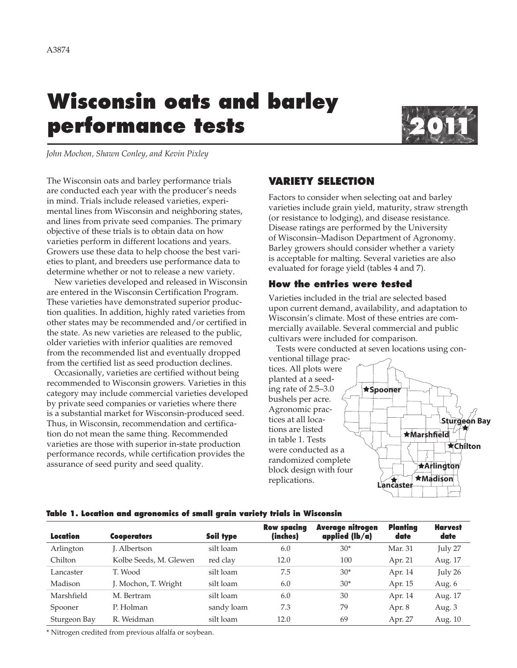# **Wisconsin oats and barley performance tests**



*John Mochon, Shawn Conley, and Kevin Pixley*

The Wisconsin oats and barley performance trials are conducted each year with the producer's needs in mind. Trials include released varieties, experimental lines from Wisconsin and neighboring states, and lines from private seed companies. The primary objective of these trials is to obtain data on how varieties perform in different locations and years. Growers use these data to help choose the best varieties to plant, and breeders use performance data to determine whether or not to release a new variety.

New varieties developed and released in Wisconsin are entered in the Wisconsin Certification Program. These varieties have demonstrated superior production qualities. In addition, highly rated varieties from other states may be recommended and/or certified in the state. As new varieties are released to the public, older varieties with inferior qualities are removed from the recommended list and eventually dropped from the certified list as seed production declines.

Occasionally, varieties are certified without being recommended to Wisconsin growers. Varieties in this category may include commercial varieties developed by private seed companies or varieties where there is a substantial market for Wisconsin-produced seed. Thus, in Wisconsin, recommendation and certification do not mean the same thing. Recommended varieties are those with superior in-state production performance records, while certification provides the assurance of seed purity and seed quality.

# **VARIETY SELECTION**

Factors to consider when selecting oat and barley varieties include grain yield, maturity, straw strength (or resistance to lodging), and disease resistance. Disease ratings are performed by the University of Wisconsin–Madison Department of Agronomy. Barley growers should consider whether a variety is acceptable for malting. Several varieties are also evaluated for forage yield (tables 4 and 7).

# **How the entries were tested**

Varieties included in the trial are selected based upon current demand, availability, and adaptation to Wisconsin's climate. Most of these entries are commercially available. Several commercial and public cultivars were included for comparison.

Tests were conducted at seven locations using con-

ventional tillage practices. All plots were planted at a seeding rate of 2.5–3.0 bushels per acre. Agronomic practices at all locations are listed in table 1. Tests were conducted as a randomized complete block design with four replications.



# **Table 1. Location and agronomics of small grain variety trials in Wisconsin**

| Location     | <b>Cooperators</b>     | Soil type  | <b>Row spacing</b><br>(inches) | <b>Average nitrogen</b><br>applied $(lb/a)$ | <b>Planting</b><br>date | <b>Harvest</b><br>date |
|--------------|------------------------|------------|--------------------------------|---------------------------------------------|-------------------------|------------------------|
| Arlington    | I. Albertson           | silt loam  | 6.0                            | $30*$                                       | Mar. 31                 | July 27                |
| Chilton      | Kolbe Seeds, M. Glewen | red clay   | 12.0                           | 100                                         | Apr. 21                 | Aug. 17                |
| Lancaster    | T. Wood                | silt loam  | 7.5                            | $30*$                                       | Apr. 14                 | July 26                |
| Madison      | J. Mochon, T. Wright   | silt loam  | 6.0                            | $30*$                                       | Apr. 15                 | Aug. 6                 |
| Marshfield   | M. Bertram             | silt loam  | 6.0                            | 30                                          | Apr. 14                 | Aug. 17                |
| Spooner      | P. Holman              | sandy loam | 7.3                            | 79                                          | Apr. 8                  | Aug. 3                 |
| Sturgeon Bay | R. Weidman             | silt loam  | 12.0                           | 69                                          | Apr. 27                 | Aug. 10                |

\* Nitrogen credited from previous alfalfa or soybean.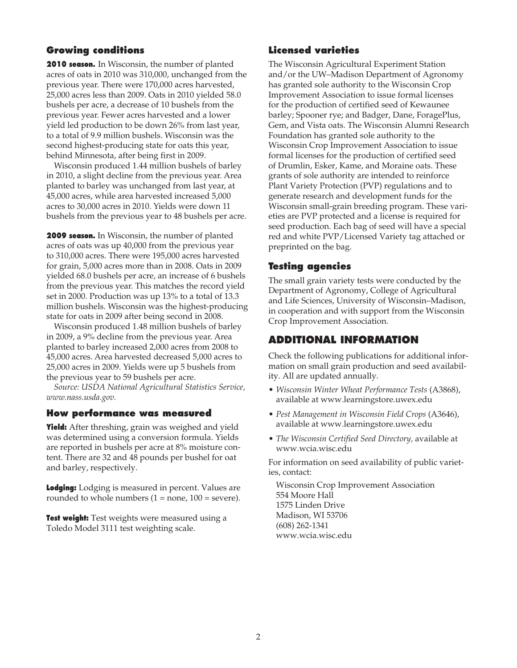## **Growing conditions**

**2010 season.** In Wisconsin, the number of planted acres of oats in 2010 was 310,000, unchanged from the previous year. There were 170,000 acres harvested, 25,000 acres less than 2009. Oats in 2010 yielded 58.0 bushels per acre, a decrease of 10 bushels from the previous year. Fewer acres harvested and a lower yield led production to be down 26% from last year, to a total of 9.9 million bushels. Wisconsin was the second highest-producing state for oats this year, behind Minnesota, after being first in 2009.

Wisconsin produced 1.44 million bushels of barley in 2010, a slight decline from the previous year. Area planted to barley was unchanged from last year, at 45,000 acres, while area harvested increased 5,000 acres to 30,000 acres in 2010. Yields were down 11 bushels from the previous year to 48 bushels per acre.

**2009 season.** In Wisconsin, the number of planted acres of oats was up 40,000 from the previous year to 310,000 acres. There were 195,000 acres harvested for grain, 5,000 acres more than in 2008. Oats in 2009 yielded 68.0 bushels per acre, an increase of 6 bushels from the previous year. This matches the record yield set in 2000. Production was up 13% to a total of 13.3 million bushels. Wisconsin was the highest-producing state for oats in 2009 after being second in 2008.

Wisconsin produced 1.48 million bushels of barley in 2009, a 9% decline from the previous year. Area planted to barley increased 2,000 acres from 2008 to 45,000 acres. Area harvested decreased 5,000 acres to 25,000 acres in 2009. Yields were up 5 bushels from the previous year to 59 bushels per acre.

*Source: USDA National Agricultural Statistics Service, www.nass.usda.gov.*

### **How performance was measured**

**Yield:** After threshing, grain was weighed and yield was determined using a conversion formula. Yields are reported in bushels per acre at 8% moisture content. There are 32 and 48 pounds per bushel for oat and barley, respectively.

**Lodging:** Lodging is measured in percent. Values are rounded to whole numbers  $(1 = none, 100 = severe)$ .

**Test weight:** Test weights were measured using a Toledo Model 3111 test weighting scale.

## **Licensed varieties**

The Wisconsin Agricultural Experiment Station and/or the UW–Madison Department of Agronomy has granted sole authority to the Wisconsin Crop Improvement Association to issue formal licenses for the production of certified seed of Kewaunee barley; Spooner rye; and Badger, Dane, ForagePlus, Gem, and Vista oats. The Wisconsin Alumni Research Foundation has granted sole authority to the Wisconsin Crop Improvement Association to issue formal licenses for the production of certified seed of Drumlin, Esker, Kame, and Moraine oats. These grants of sole authority are intended to reinforce Plant Variety Protection (PVP) regulations and to generate research and development funds for the Wisconsin small-grain breeding program. These varieties are PVP protected and a license is required for seed production. Each bag of seed will have a special red and white PVP/Licensed Variety tag attached or preprinted on the bag.

## **Testing agencies**

The small grain variety tests were conducted by the Department of Agronomy, College of Agricultural and Life Sciences, University of Wisconsin–Madison, in cooperation and with support from the Wisconsin Crop Improvement Association.

# **ADDITIONAL INFORMATION**

Check the following publications for additional information on small grain production and seed availability. All are updated annually.

- • *Wisconsin Winter Wheat Performance Tests* (A3868), available at www.learningstore.uwex.edu
- • *Pest Management in Wisconsin Field Crops* (A3646), available at www.learningstore.uwex.edu
- • *The Wisconsin Certified Seed Directory,* available at www.wcia.wisc.edu

For information on seed availability of public varieties, contact:

Wisconsin Crop Improvement Association 554 Moore Hall 1575 Linden Drive Madison, WI 53706 (608) 262-1341 www.wcia.wisc.edu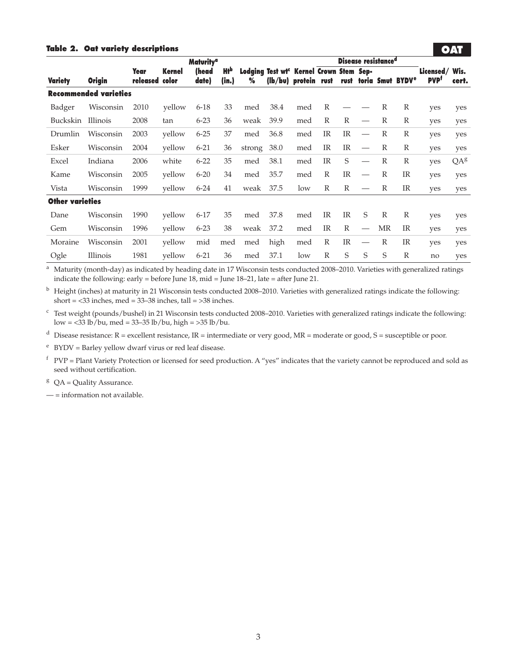#### **Table 2. Oat variety descriptions**

|                        |                              |                         |                 | <b>Maturity<sup>a</sup></b> |              |        |                                                                             |     | Disease resistance <sup>d</sup> |              |                          |              |                                   |                                          |          |
|------------------------|------------------------------|-------------------------|-----------------|-----------------------------|--------------|--------|-----------------------------------------------------------------------------|-----|---------------------------------|--------------|--------------------------|--------------|-----------------------------------|------------------------------------------|----------|
| <b>Variety</b>         | <b>Origin</b>                | <b>Year</b><br>released | Kernel<br>color | (head<br>date)              | Hłp<br>(in.) | %      | Lodging Test wt <sup>c</sup> Kernel Crown Stem Sep-<br>(lb/bu) protein rust |     |                                 |              |                          |              | rust toria Smut BYDV <sup>e</sup> | Licensed/Wis.<br><b>PVP</b> <sup>f</sup> | cert.    |
|                        | <b>Recommended varieties</b> |                         |                 |                             |              |        |                                                                             |     |                                 |              |                          |              |                                   |                                          |          |
| Badger                 | Wisconsin                    | 2010                    | yellow          | $6 - 18$                    | 33           | med    | 38.4                                                                        | med | R                               |              |                          | R            | $\mathbb{R}$                      | yes                                      | yes      |
| Buckskin               | Illinois                     | 2008                    | tan             | $6 - 23$                    | 36           | weak   | 39.9                                                                        | med | $\mathbb{R}$                    | $\mathbb{R}$ | $\overline{\phantom{0}}$ | R            | $\mathbb{R}$                      | yes                                      | yes      |
| Drumlin                | Wisconsin                    | 2003                    | vellow          | $6 - 25$                    | 37           | med    | 36.8                                                                        | med | <b>IR</b>                       | <b>IR</b>    | $\overline{\phantom{0}}$ | R            | $\mathbb{R}$                      | yes                                      | yes      |
| Esker                  | Wisconsin                    | 2004                    | yellow          | $6 - 21$                    | 36           | strong | 38.0                                                                        | med | <b>IR</b>                       | <b>IR</b>    | $\overline{\phantom{m}}$ | $\mathbb{R}$ | $\mathbb{R}$                      | yes                                      | yes      |
| Excel                  | Indiana                      | 2006                    | white           | $6 - 22$                    | 35           | med    | 38.1                                                                        | med | <b>IR</b>                       | S            |                          | $\mathbb{R}$ | $\mathbb{R}$                      | yes                                      | $QA^{g}$ |
| Kame                   | Wisconsin                    | 2005                    | yellow          | $6 - 20$                    | 34           | med    | 35.7                                                                        | med | R                               | <b>IR</b>    |                          | R            | <b>IR</b>                         | yes                                      | yes      |
| Vista                  | Wisconsin                    | 1999                    | yellow          | $6 - 24$                    | 41           | weak   | 37.5                                                                        | low | R                               | R            |                          | R            | <b>IR</b>                         | yes                                      | yes      |
| <b>Other varieties</b> |                              |                         |                 |                             |              |        |                                                                             |     |                                 |              |                          |              |                                   |                                          |          |
| Dane                   | Wisconsin                    | 1990                    | yellow          | $6 - 17$                    | 35           | med    | 37.8                                                                        | med | <b>IR</b>                       | <b>IR</b>    | S                        | R            | $\mathbb{R}$                      | yes                                      | yes      |
| Gem                    | Wisconsin                    | 1996                    | yellow          | $6 - 23$                    | 38           | weak   | 37.2                                                                        | med | <b>IR</b>                       | R            |                          | MR           | <b>IR</b>                         | yes                                      | yes      |
| Moraine                | Wisconsin                    | 2001                    | yellow          | mid                         | med          | med    | high                                                                        | med | R                               | <b>IR</b>    | $\overline{\phantom{0}}$ | R            | <b>IR</b>                         | yes                                      | yes      |
| Ogle                   | Illinois                     | 1981                    | vellow          | $6 - 21$                    | 36           | med    | 37.1                                                                        | low | R                               | S            | S                        | $\mathsf{S}$ | $\mathbb{R}$                      | no                                       | yes      |

**•OAT•**

<sup>a</sup> Maturity (month-day) as indicated by heading date in 17 Wisconsin tests conducted 2008–2010. Varieties with generalized ratings indicate the following: early = before June 18, mid = June 18–21, late = after June 21.

<sup>b</sup> Height (inches) at maturity in 21 Wisconsin tests conducted 2008–2010. Varieties with generalized ratings indicate the following: short = <33 inches, med = 33–38 inches, tall = >38 inches.

<sup>c</sup> Test weight (pounds/bushel) in 21 Wisconsin tests conducted 2008–2010. Varieties with generalized ratings indicate the following:  $\text{low} = \frac{33 \text{ lb}}{\text{bu}}$ , med = 33–35 lb/bu, high = >35 lb/bu.

<sup>d</sup> Disease resistance:  $R =$  excellent resistance,  $IR =$  intermediate or very good,  $MR =$  moderate or good,  $S =$  susceptible or poor.

 $e$  BYDV = Barley yellow dwarf virus or red leaf disease.

 $f$  PVP = Plant Variety Protection or licensed for seed production. A "yes" indicates that the variety cannot be reproduced and sold as seed without certification.

 $QA =$ Quality Assurance.

— = information not available.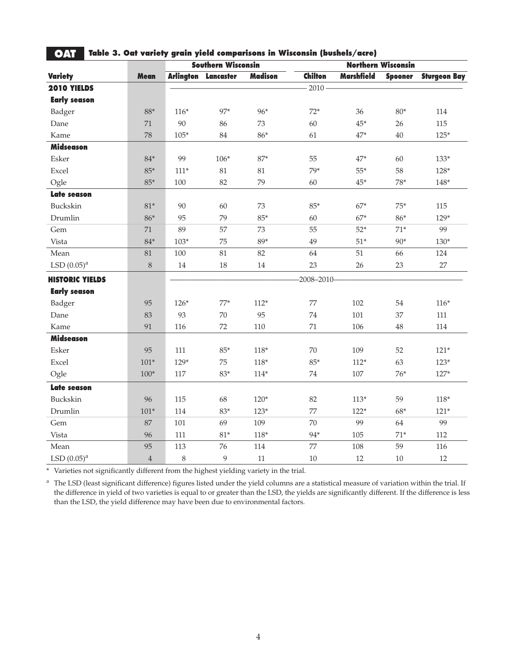|                        |             |        | <b>Southern Wisconsin</b>  |                | <b>Northern Wisconsin</b> |                   |                |                     |  |
|------------------------|-------------|--------|----------------------------|----------------|---------------------------|-------------------|----------------|---------------------|--|
| <b>Variety</b>         | <b>Mean</b> |        | <b>Arlington Lancaster</b> | <b>Madison</b> | <b>Chilton</b>            | <b>Marshfield</b> | <b>Spooner</b> | <b>Sturgeon Bay</b> |  |
| 2010 YIELDS            |             |        |                            |                | $2010 -$                  |                   |                |                     |  |
| <b>Early season</b>    |             |        |                            |                |                           |                   |                |                     |  |
| Badger                 | 88*         | $116*$ | 97*                        | 96*            | $72*$                     | 36                | $80*$          | 114                 |  |
| Dane                   | 71          | 90     | 86                         | 73             | 60                        | $45*$             | 26             | 115                 |  |
| Kame                   | 78          | $105*$ | 84                         | 86*            | 61                        | $47*$             | 40             | $125*$              |  |
| <b>Midseason</b>       |             |        |                            |                |                           |                   |                |                     |  |
| Esker                  | $84*$       | 99     | $106*$                     | $87*$          | 55                        | $47*$             | 60             | $133*$              |  |
| Excel                  | $85*$       | $111*$ | 81                         | 81             | $79*$                     | $55*$             | 58             | 128*                |  |
| Ogle                   | $85*$       | 100    | 82                         | 79             | 60                        | $45*$             | 78*            | $148^{\ast}$        |  |
| Late season            |             |        |                            |                |                           |                   |                |                     |  |
| Buckskin               | $81*$       | 90     | 60                         | 73             | $85*$                     | $67*$             | $75*$          | 115                 |  |
| Drumlin                | 86*         | 95     | 79                         | $85*$          | 60                        | $67*$             | 86*            | 129*                |  |
| Gem                    | 71          | 89     | 57                         | 73             | 55                        | $52*$             | $71*$          | 99                  |  |
| Vista                  | $84*$       | $103*$ | 75                         | 89*            | 49                        | $51*$             | $90*$          | $130*$              |  |
| Mean                   | 81          | 100    | 81                         | 82             | 64                        | 51                | 66             | 124                 |  |
| LSD $(0.05)^{a}$       | $\,8\,$     | $14\,$ | $18\,$                     | $14\,$         | 23                        | 26                | 23             | $27\,$              |  |
| <b>HISTORIC YIELDS</b> |             |        |                            |                | $-2008 - 2010$            |                   |                |                     |  |
| <b>Early season</b>    |             |        |                            |                |                           |                   |                |                     |  |
| Badger                 | 95          | $126*$ | $77*$                      | $112*$         | 77                        | 102               | 54             | $116*$              |  |
| Dane                   | 83          | 93     | 70                         | 95             | 74                        | 101               | 37             | 111                 |  |
| Kame                   | 91          | 116    | 72                         | 110            | 71                        | 106               | $48\,$         | $114\,$             |  |
| <b>Midseason</b>       |             |        |                            |                |                           |                   |                |                     |  |
| Esker                  | 95          | 111    | $85*$                      | $118*$         | 70                        | 109               | 52             | $121*$              |  |
| Excel                  | $101*$      | $129*$ | 75                         | $118*$         | $85*$                     | $112*$            | 63             | $123*$              |  |
| Ogle                   | $100*$      | 117    | 83*                        | $114*$         | 74                        | 107               | $76*$          | $127*$              |  |
| Late season            |             |        |                            |                |                           |                   |                |                     |  |
| Buckskin               | 96          | 115    | 68                         | $120*$         | 82                        | $113*$            | 59             | $118*$              |  |
| Drumlin                | $101*$      | 114    | 83*                        | $123*$         | 77                        | $122*$            | $68*$          | $121*$              |  |
| Gem                    | 87          | 101    | 69                         | 109            | 70                        | 99                | 64             | 99                  |  |
| Vista                  | 96          | 111    | $81*$                      | $118*$         | 94*                       | 105               | $71*$          | 112                 |  |
| Mean                   | 95          | 113    | 76                         | 114            | 77                        | 108               | 59             | 116                 |  |
| LSD $(0.05)^a$         | $\,4\,$     | 8      | 9                          | 11             | 10                        | 12                | 10             | 12                  |  |

# **Table 3. Oat variety grain yield comparisons in Wisconsin (bushels/acre) OAT•**

\* Varieties not significantly different from the highest yielding variety in the trial.

<sup>a</sup> The LSD (least significant difference) figures listed under the yield columns are a statistical measure of variation within the trial. If the difference in yield of two varieties is equal to or greater than the LSD, the yields are significantly different. If the difference is less than the LSD, the yield difference may have been due to environmental factors.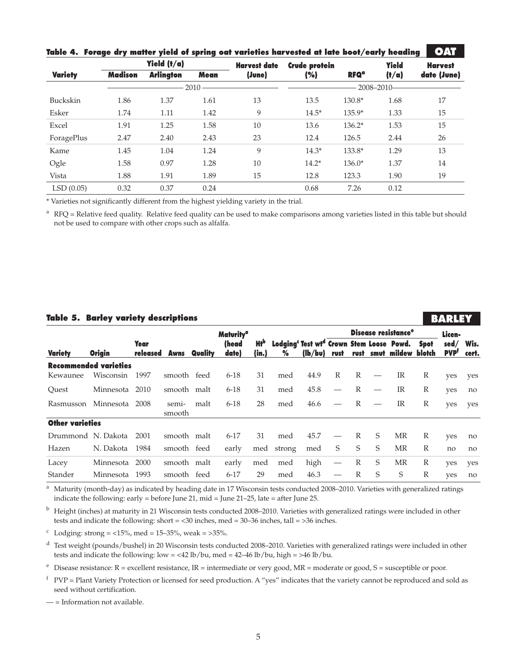|                 |         | Yield $(t/a)$    |             | <b>Harvest date</b> | <b>Crude protein</b> |                        | <b>Yield</b>   | <b>Harvest</b> |
|-----------------|---------|------------------|-------------|---------------------|----------------------|------------------------|----------------|----------------|
| <b>Variety</b>  | Madison | <b>Arlington</b> | <b>Mean</b> | (June)              | (%)                  | <b>RFQ<sup>a</sup></b> | (t/a)          | date (June)    |
|                 |         |                  | $2010 -$    |                     |                      |                        | $-2008 - 2010$ |                |
| <b>Buckskin</b> | 1.86    | 1.37             | 1.61        | 13                  | 13.5                 | 130.8*                 | 1.68           | 17             |
| Esker           | 1.74    | 1.11             | 1.42        | 9                   | $14.5*$              | $135.9*$               | 1.33           | 15             |
| Excel           | 1.91    | 1.25             | 1.58        | 10                  | 13.6                 | $136.2*$               | 1.53           | 15             |
| ForagePlus      | 2.47    | 2.40             | 2.43        | 23                  | 12.4                 | 126.5                  | 2.44           | 26             |
| Kame            | 1.45    | 1.04             | 1.24        | 9                   | $14.3*$              | $133.8*$               | 1.29           | 13             |
| Ogle            | 1.58    | 0.97             | 1.28        | 10                  | $14.2*$              | $136.0*$               | 1.37           | 14             |
| Vista           | 1.88    | 1.91             | 1.89        | 15                  | 12.8                 | 123.3                  | 1.90           | 19             |
| LSD(0.05)       | 0.32    | 0.37             | 0.24        |                     | 0.68                 | 7.26                   | 0.12           |                |

**Table 4. Forage dry matter yield of spring oat varieties harvested at late boot/early heading •OAT•**

\* Varieties not significantly different from the highest yielding variety in the trial.

 $a$  RFQ = Relative feed quality. Relative feed quality can be used to make comparisons among varieties listed in this table but should not be used to compare with other crops such as alfalfa.

#### **Table 5. Barley variety descriptions**

**Maturitya Disease resistancee Licen-Variety Origin Year released Awns Quality (head date) Htb (in.)** Lodging<sup>c</sup> Test wt<sup>d</sup> Crown Stem Loose Powd. **% (lb/bu) rust rust smut mildew blotch Spot sed/ PVPf Wis. cert. Recommended varieties** Kewaunee Wisconsin 1997 smooth feed 6-18 31 med 44.9 R R — IR R yes yes Quest Minnesota 2010 smooth malt 6-18 31 med 45.8 — R — IR R yes no Rasmusson Minnesota 2008 semismooth malt 6-18 28 med 46.6 — R — IR R yes yes **Other varieties** Drummond N. Dakota 2001 smooth malt 6-17 31 med 45.7 — R S MR R yes no Hazen N. Dakota 1984 smooth feed early med strong med S S S MR R no no Lacey Minnesota 2000 smooth malt early med med high — R S MR R yes yes Stander Minnesota 1993 smooth feed 6-17 29 med 46.3 — R S S R yes no

 **BARLEY•**

<sup>a</sup> Maturity (month-day) as indicated by heading date in 17 Wisconsin tests conducted 2008–2010. Varieties with generalized ratings indicate the following: early = before June 21, mid = June 21–25, late = after June 25.

<sup>b</sup> Height (inches) at maturity in 21 Wisconsin tests conducted 2008–2010. Varieties with generalized ratings were included in other tests and indicate the following: short = <30 inches, med = 30–36 inches, tall = >36 inches.

<sup>c</sup> Lodging: strong = <15%, med = 15–35%, weak = >35%.

<sup>d</sup> Test weight (pounds/bushel) in 20 Wisconsin tests conducted 2008–2010. Varieties with generalized ratings were included in other tests and indicate the following:  $low = <42 lb/bu$ , med = 42–46 lb/bu, high = >46 lb/bu.

<sup>e</sup> Disease resistance:  $R =$  excellent resistance,  $IR =$  intermediate or very good,  $MR =$  moderate or good,  $S =$  susceptible or poor.

 $f$  PVP = Plant Variety Protection or licensed for seed production. A "yes" indicates that the variety cannot be reproduced and sold as seed without certification.

— = Information not available.